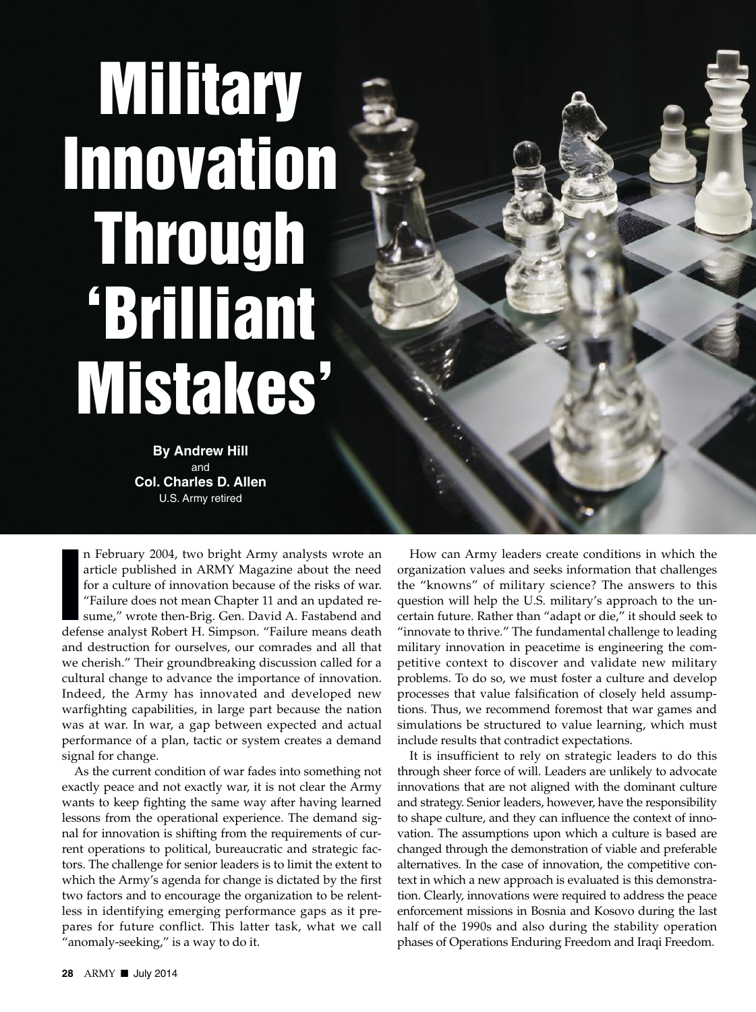# **Military Innovation Through 'Brilliant Mistakes'**

**By Andrew Hill** and **Col. Charles D. Allen** U.S. Army retired

**I** n February 2004, two bright Army analysts wrote an article published in ARMY Magazine about the need for a culture of innovation because of the risks of war. "Failure does not mean Chapter 11 and an updated resume," wrote then-Brig. Gen. David A. Fastabend and defense analyst Robert H. Simpson. "Failure means death and destruction for ourselves, our comrades and all that we cherish." Their groundbreaking discussion called for a cultural change to advance the importance of innovation. Indeed, the Army has innovated and developed new warfighting capabilities, in large part because the nation was at war. In war, a gap between expected and actual performance of a plan, tactic or system creates a demand signal for change.

As the current condition of war fades into something not exactly peace and not exactly war, it is not clear the Army wants to keep fighting the same way after having learned lessons from the operational experience. The demand signal for innovation is shifting from the requirements of current operations to political, bureaucratic and strategic factors. The challenge for senior leaders is to limit the extent to which the Army's agenda for change is dictated by the first two factors and to encourage the organization to be relentless in identifying emerging performance gaps as it prepares for future conflict. This latter task, what we call "anomaly-seeking," is a way to do it.

How can Army leaders create conditions in which the organization values and seeks information that challenges the "knowns" of military science? The answers to this question will help the U.S. military's approach to the uncertain future. Rather than "adapt or die," it should seek to "innovate to thrive." The fundamental challenge to leading military innovation in peacetime is engineering the competitive context to discover and validate new military problems. To do so, we must foster a culture and develop processes that value falsification of closely held assumptions. Thus, we recommend foremost that war games and simulations be structured to value learning, which must include results that contradict expectations.

It is insufficient to rely on strategic leaders to do this through sheer force of will. Leaders are unlikely to advocate innovations that are not aligned with the dominant culture and strategy. Senior leaders, however, have the responsibility to shape culture, and they can influence the context of innovation. The assumptions upon which a culture is based are changed through the demonstration of viable and preferable alternatives. In the case of innovation, the competitive context in which a new approach is evaluated is this demonstration. Clearly, innovations were required to address the peace enforcement missions in Bosnia and Kosovo during the last half of the 1990s and also during the stability operation phases of Operations Enduring Freedom and Iraqi Freedom.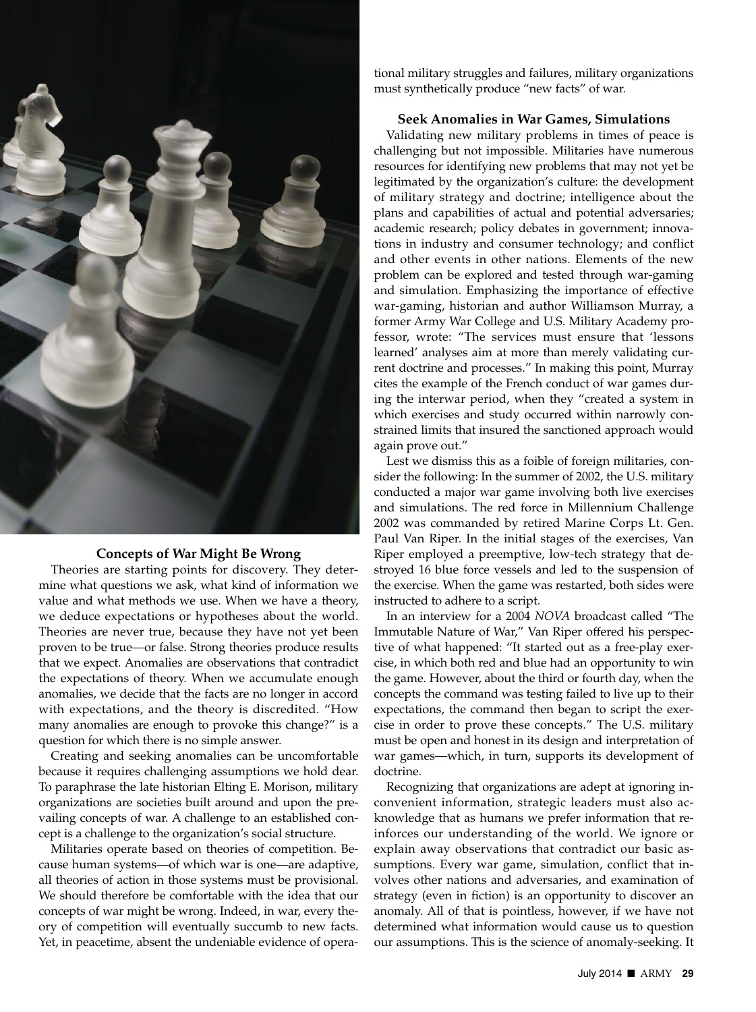

## **Concepts of War Might Be Wrong**

Theories are starting points for discovery. They determine what questions we ask, what kind of information we value and what methods we use. When we have a theory, we deduce expectations or hypotheses about the world. Theories are never true, because they have not yet been proven to be true—or false. Strong theories produce results that we expect. Anomalies are observations that contradict the expectations of theory. When we accumulate enough anomalies, we decide that the facts are no longer in accord with expectations, and the theory is discredited. "How many anomalies are enough to provoke this change?" is a question for which there is no simple answer.

Creating and seeking anomalies can be uncomfortable because it requires challenging assumptions we hold dear. To paraphrase the late historian Elting E. Morison, military organizations are societies built around and upon the prevailing concepts of war. A challenge to an established concept is a challenge to the organization's social structure.

Militaries operate based on theories of competition. Because human systems—of which war is one—are adaptive, all theories of action in those systems must be provisional. We should therefore be comfortable with the idea that our concepts of war might be wrong. Indeed, in war, every theory of competition will eventually succumb to new facts. Yet, in peacetime, absent the undeniable evidence of operational military struggles and failures, military organizations must synthetically produce "new facts" of war.

### **Seek Anomalies in War Games, Simulations**

Validating new military problems in times of peace is challenging but not impossible. Militaries have numerous resources for identifying new problems that may not yet be legitimated by the organization's culture: the development of military strategy and doctrine; intelligence about the plans and capabilities of actual and potential adversaries; academic research; policy debates in government; innovations in industry and consumer technology; and conflict and other events in other nations. Elements of the new problem can be explored and tested through war-gaming and simulation. Emphasizing the importance of effective war-gaming, historian and author Williamson Murray, a former Army War College and U.S. Military Academy professor, wrote: "The services must ensure that 'lessons learned' analyses aim at more than merely validating current doctrine and processes." In making this point, Murray cites the example of the French conduct of war games during the interwar period, when they "created a system in which exercises and study occurred within narrowly constrained limits that insured the sanctioned approach would again prove out."

Lest we dismiss this as a foible of foreign militaries, consider the following: In the summer of 2002, the U.S. military conducted a major war game involving both live exercises and simulations. The red force in Millennium Challenge 2002 was commanded by retired Marine Corps Lt. Gen. Paul Van Riper. In the initial stages of the exercises, Van Riper employed a preemptive, low-tech strategy that destroyed 16 blue force vessels and led to the suspension of the exercise. When the game was restarted, both sides were instructed to adhere to a script.

In an interview for a 2004 *NOVA* broadcast called "The Immutable Nature of War," Van Riper offered his perspective of what happened: "It started out as a free-play exercise, in which both red and blue had an opportunity to win the game. However, about the third or fourth day, when the concepts the command was testing failed to live up to their expectations, the command then began to script the exercise in order to prove these concepts." The U.S. military must be open and honest in its design and interpretation of war games—which, in turn, supports its development of doctrine.

Recognizing that organizations are adept at ignoring inconvenient information, strategic leaders must also acknowledge that as humans we prefer information that reinforces our understanding of the world. We ignore or explain away observations that contradict our basic assumptions. Every war game, simulation, conflict that involves other nations and adversaries, and examination of strategy (even in fiction) is an opportunity to discover an anomaly. All of that is pointless, however, if we have not determined what information would cause us to question our assumptions. This is the science of anomaly-seeking. It